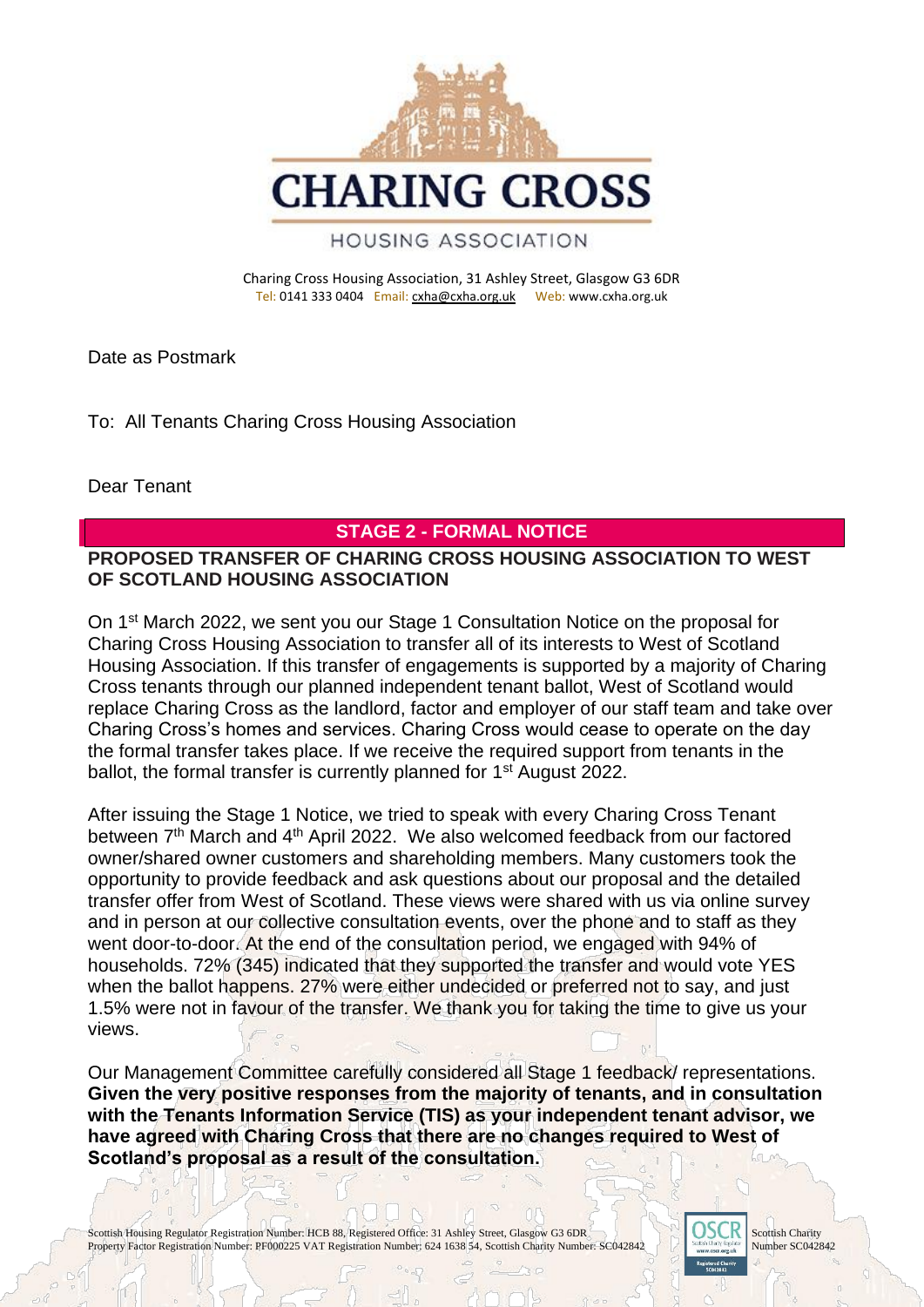

Charing Cross Housing Association, 31 Ashley Street, Glasgow G3 6DR Tel: 0141 333 0404 Email: [cxha@cxha.org.uk](mailto:cxha@cxha.org.uk) Web: www.cxha.org.uk

Date as Postmark

To: All Tenants Charing Cross Housing Association

Dear Tenant

## **STAGE 2 - FORMAL NOTICE**

## **PROPOSED TRANSFER OF CHARING CROSS HOUSING ASSOCIATION TO WEST OF SCOTLAND HOUSING ASSOCIATION**

On 1st March 2022, we sent you our Stage 1 Consultation Notice on the proposal for Charing Cross Housing Association to transfer all of its interests to West of Scotland Housing Association. If this transfer of engagements is supported by a majority of Charing Cross tenants through our planned independent tenant ballot, West of Scotland would replace Charing Cross as the landlord, factor and employer of our staff team and take over Charing Cross's homes and services. Charing Cross would cease to operate on the day the formal transfer takes place. If we receive the required support from tenants in the ballot, the formal transfer is currently planned for 1<sup>st</sup> August 2022.

After issuing the Stage 1 Notice, we tried to speak with every Charing Cross Tenant between 7<sup>th</sup> March and 4<sup>th</sup> April 2022. We also welcomed feedback from our factored owner/shared owner customers and shareholding members. Many customers took the opportunity to provide feedback and ask questions about our proposal and the detailed transfer offer from West of Scotland. These views were shared with us via online survey and in person at our collective consultation events, over the phone and to staff as they went door-to-door. At the end of the consultation period, we engaged with 94% of households. 72% (345) indicated that they supported the transfer and would vote YES when the ballot happens. 27% were either undecided or preferred not to say, and just 1.5% were not in favour of the transfer. We thank you for taking the time to give us your views.

Our Management Committee carefully considered all Stage 1 feedback/ representations. **Given the very positive responses from the majority of tenants, and in consultation with the Tenants Information Service (TIS) as your independent tenant advisor, we have agreed with Charing Cross that there are no changes required to West of Scotland's proposal as a result of the consultation.**

Scottish Housing Regulator Registration Number: HCB 88, Registered Office: 31 Ashley Street, Glasgow G3 6DR Scottish Charity Number: SCO42842 Scottish Charity Number: SCO42842 Property Factor Registration Number: PF000225 VAT Registration Number: 624 1638 54, Scottish Charity Number: SC042842

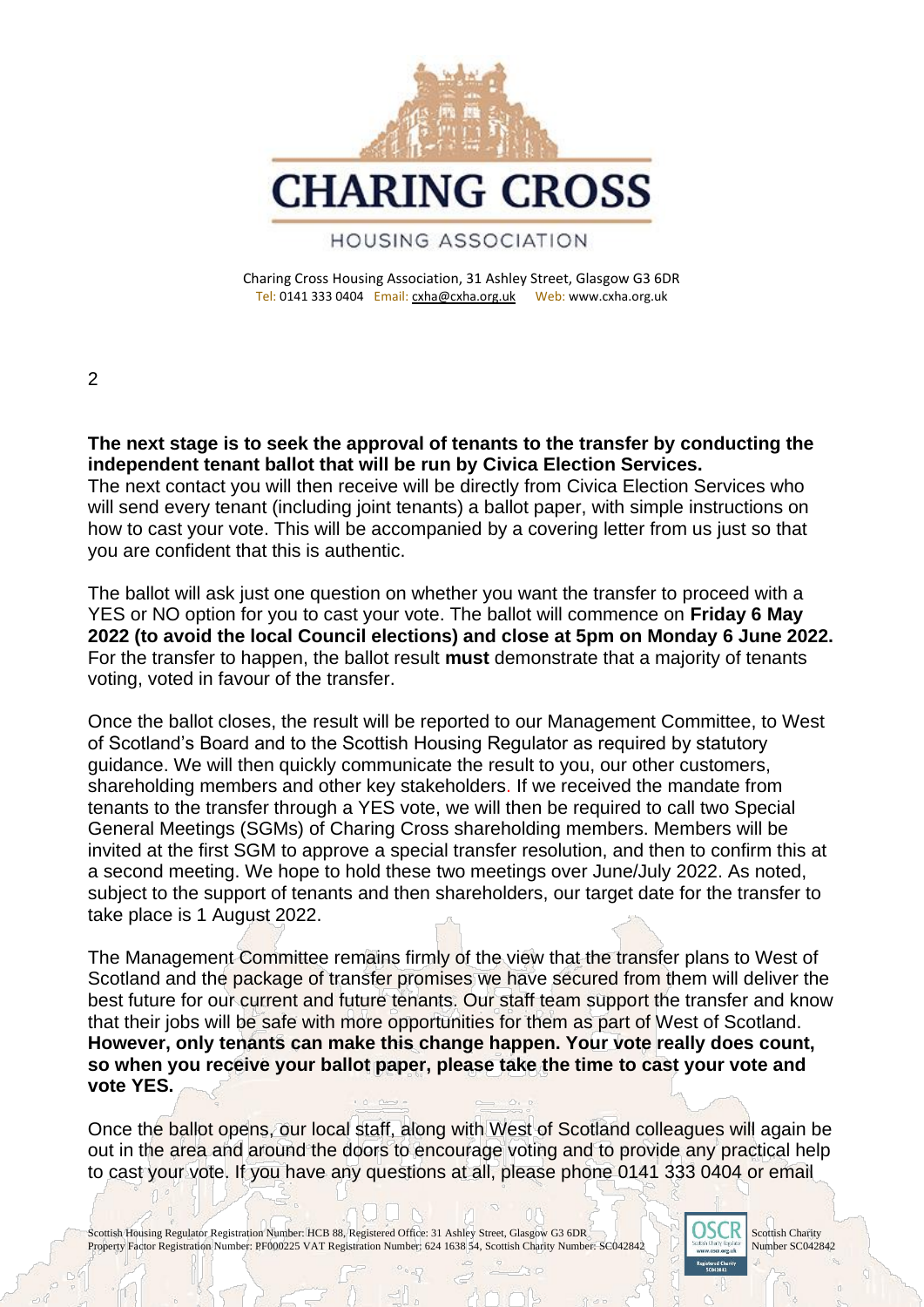

Charing Cross Housing Association, 31 Ashley Street, Glasgow G3 6DR Tel: 0141 333 0404 Email: [cxha@cxha.org.uk](mailto:cxha@cxha.org.uk) Web: www.cxha.org.uk

 $\mathfrak{p}$ 

**The next stage is to seek the approval of tenants to the transfer by conducting the independent tenant ballot that will be run by Civica Election Services.** 

The next contact you will then receive will be directly from Civica Election Services who will send every tenant (including joint tenants) a ballot paper, with simple instructions on how to cast your vote. This will be accompanied by a covering letter from us just so that you are confident that this is authentic.

The ballot will ask just one question on whether you want the transfer to proceed with a YES or NO option for you to cast your vote. The ballot will commence on **Friday 6 May 2022 (to avoid the local Council elections) and close at 5pm on Monday 6 June 2022.**  For the transfer to happen, the ballot result **must** demonstrate that a majority of tenants voting, voted in favour of the transfer.

Once the ballot closes, the result will be reported to our Management Committee, to West of Scotland's Board and to the Scottish Housing Regulator as required by statutory guidance. We will then quickly communicate the result to you, our other customers, shareholding members and other key stakeholders. If we received the mandate from tenants to the transfer through a YES vote, we will then be required to call two Special General Meetings (SGMs) of Charing Cross shareholding members. Members will be invited at the first SGM to approve a special transfer resolution, and then to confirm this at a second meeting. We hope to hold these two meetings over June/July 2022. As noted, subject to the support of tenants and then shareholders, our target date for the transfer to take place is 1 August 2022.

The Management Committee remains firmly of the view that the transfer plans to West of Scotland and the package of transfer promises we have secured from them will deliver the best future for our current and future tenants. Our staff team support the transfer and know that their jobs will be safe with more opportunities for them as part of West of Scotland. **However, only tenants can make this change happen. Your vote really does count, so when you receive your ballot paper, please take the time to cast your vote and vote YES.** 

Once the ballot opens, our local staff, along with West of Scotland colleagues will again be out in the area and around the doors to encourage voting and to provide any practical help to cast your vote. If you have any questions at all, please phone 0141 333 0404 or email

Scottish Housing Regulator Registration Number: HCB 88, Registered Office: 31 Ashley Street, Glasgow G3 6DR Scottish Charity Number: SCO42842 Scottish Charity Number: SCO42842 Property Factor Registration Number: PF000225 VAT Registration Number: 624 1638 54, Scottish Charity Number: SC042842